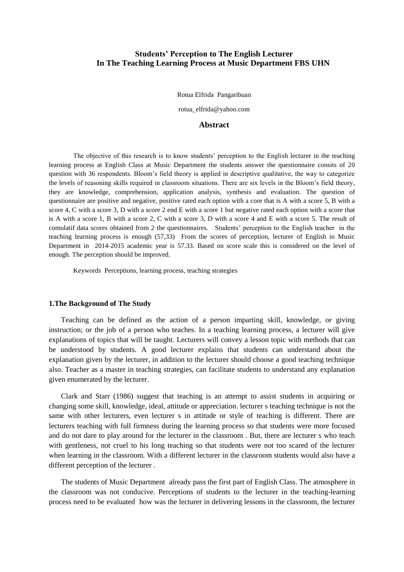# **Students' Perception to The English Lecturer In The Teaching Learning Process at Music Department FBS UHN**

Rotua Elfrida Pangaribuan

rotua\_elfrida@yahoo.com

## **Abstract**

The objective of this research is to know students' perception to the English lecturer in the teaching learning process at English Class at Music Department the students answer the questionnaire consits of 20 question with 36 respondents. Bloom's field theory is applied in descriptive qualitative, the way to categorize the levels of reasoning skills required in classroom situations. There are six levels in the Bloom's field theory, they are knowledge, comprehension, application analysis, synthesis and evaluation. The question of questionnaire are positive and negative, positive rated each option with a core that is A with a score 5, B with a score 4, C with a score 3, D with a score 2 end E with a score 1 but negative rated each option with a score that is A with a score 1, B with a score 2, C with a score 3, D with a score 4 and E with a score 5. The result of comulatif data scores obtained from 2 the questionnaires. Students' perception to the English teacher in the teaching learning process is enough (57,33) From the scores of perception, lecturer of English in Music Department in 2014-2015 academic year is 57.33. Based on score scale this is considered on the level of enough. The perception should be improved.

Keywords Perceptions, learning process, teaching strategies

#### **1.The Background of The Study**

Teaching can be defined as the action of a person imparting skill, knowledge, or giving instruction; or the job of a person who teaches. In a teaching learning process, a lecturer will give explanations of topics that will be taught. Lecturers will convey a lesson topic with methods that can be understood by students. A good lecturer explains that students can understand about the explanation given by the lecturer, in addition to the lecturer should choose a good teaching technique also. Teacher as a master in teaching strategies, can facilitate students to understand any explanation given enumerated by the lecturer.

Clark and Starr (1986) suggest that teaching is an attempt to assist students in acquiring or changing some skill, knowledge, ideal, attitude or appreciation. lecturer s teaching technique is not the same with other lecturers, even lecturer s in attitude or style of teaching is different. There are lecturers teaching with full firmness during the learning process so that students were more focused and do not dare to play around for the lecturer in the classroom . But, there are lecturer s who teach with gentleness, not cruel to his long teaching so that students were not too scared of the lecturer when learning in the classroom. With a different lecturer in the classroom students would also have a different perception of the lecturer .

The students of Music Department already pass the first part of English Class. The atmosphere in the classroom was not conducive. Perceptions of students to the lecturer in the teaching-learning process need to be evaluated how was the lecturer in delivering lessons in the classroom, the lecturer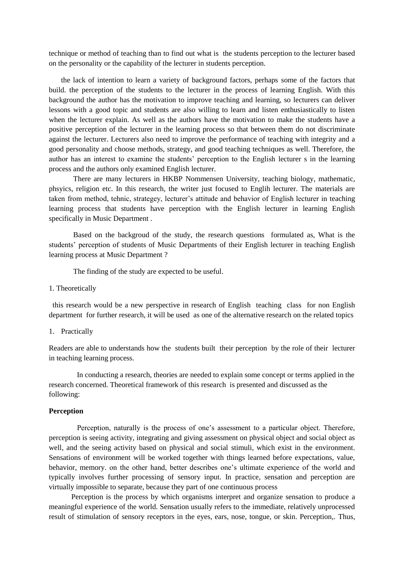technique or method of teaching than to find out what is the students perception to the lecturer based on the personality or the capability of the lecturer in students perception.

the lack of intention to learn a variety of background factors, perhaps some of the factors that build. the perception of the students to the lecturer in the process of learning English. With this background the author has the motivation to improve teaching and learning, so lecturers can deliver lessons with a good topic and students are also willing to learn and listen enthusiastically to listen when the lecturer explain. As well as the authors have the motivation to make the students have a positive perception of the lecturer in the learning process so that between them do not discriminate against the lecturer. Lecturers also need to improve the performance of teaching with integrity and a good personality and choose methods, strategy, and good teaching techniques as well. Therefore, the author has an interest to examine the students' perception to the English lecturer s in the learning process and the authors only examined English lecturer.

There are many lecturers in HKBP Nommensen University, teaching biology, mathematic, phsyics, religion etc. In this research, the writer just focused to Englih lecturer. The materials are taken from method, tehnic, strategey, lecturer's attitude and behavior of English lecturer in teaching learning process that students have perception with the English lecturer in learning English specifically in Music Department .

Based on the backgroud of the study, the research questions formulated as, What is the students' perception of students of Music Departments of their English lecturer in teaching English learning process at Music Department ?

The finding of the study are expected to be useful.

1. Theoretically

 this research would be a new perspective in research of English teaching class for non English department for further research, it will be used as one of the alternative research on the related topics

1. Practically

Readers are able to understands how the students built their perception by the role of their lecturer in teaching learning process.

 In conducting a research, theories are needed to explain some concept or terms applied in the research concerned. Theoretical framework of this research is presented and discussed as the following:

#### **Perception**

Perception, naturally is the process of one's assessment to a particular object. Therefore, perception is seeing activity, integrating and giving assessment on physical object and social object as well, and the seeing activity based on physical and social stimuli, which exist in the environment. Sensations of environment will be worked together with things learned before expectations, value, behavior, memory. on the other hand, better describes one's ultimate experience of the world and typically involves further processing of sensory input. In practice, sensation and perception are virtually impossible to separate, because they part of one continuous process

 Perception is the process by which organisms interpret and organize sensation to produce a meaningful experience of the world. Sensation usually refers to the immediate, relatively unprocessed result of stimulation of sensory receptors in the eyes, ears, nose, tongue, or skin. Perception,. Thus,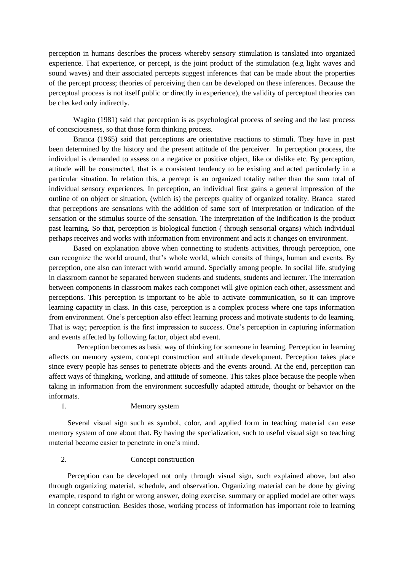perception in humans describes the process whereby sensory stimulation is tanslated into organized experience. That experience, or percept, is the joint product of the stimulation (e.g light waves and sound waves) and their associated percepts suggest inferences that can be made about the properties of the percept process; theories of perceiving then can be developed on these inferences. Because the perceptual process is not itself public or directly in experience), the validity of perceptual theories can be checked only indirectly.

Wagito (1981) said that perception is as psychological process of seeing and the last process of concsciousness, so that those form thinking process.

Branca (1965) said that perceptions are orientative reactions to stimuli. They have in past been determined by the history and the present attitude of the perceiver. In perception process, the individual is demanded to assess on a negative or positive object, like or dislike etc. By perception, attitude will be constructed, that is a consistent tendency to be existing and acted particularly in a particular situation. In relation this, a percept is an organized totality rather than the sum total of individual sensory experiences. In perception, an individual first gains a general impression of the outline of on object or situation, (which is) the percepts quality of organized totality. Branca stated that perceptions are sensations with the addition of same sort of interpretation or indication of the sensation or the stimulus source of the sensation. The interpretation of the indification is the product past learning. So that, perception is biological function ( through sensorial organs) which individual perhaps receives and works with information from environment and acts it changes on environment.

Based on explanation above when connecting to students activities, through perception, one can recognize the world around, that's whole world, which consits of things, human and events. By perception, one also can interact with world around. Specially among people. In socilal life, studying in classroom cannot be separated between students and students, students and lecturer. The intercation between components in classroom makes each componet will give opinion each other, assessment and perceptions. This perception is important to be able to activate communication, so it can improve learning capaciity in class. In this case, perception is a complex process where one taps information from environment. One's perception also effect learning process and motivate students to do learning. That is way; perception is the first impression to success. One's perception in capturing information and events affected by following factor, object abd event.

 Perception becomes as basic way of thinking for someone in learning. Perception in learning affects on memory system, concept construction and attitude development. Perception takes place since every people has senses to penetrate objects and the events around. At the end, perception can affect ways of thingking, working, and attitude of someone. This takes place because the people when taking in information from the environment succesfully adapted attitude, thought or behavior on the informats.

### 1. Memory system

 Several visual sign such as symbol, color, and applied form in teaching material can ease memory system of one about that. By having the specialization, such to useful visual sign so teaching material become easier to penetrate in one's mind.

### 2. Concept construction

 Perception can be developed not only through visual sign, such explained above, but also through organizing material, schedule, and observation. Organizing material can be done by giving example, respond to right or wrong answer, doing exercise, summary or applied model are other ways in concept construction. Besides those, working process of information has important role to learning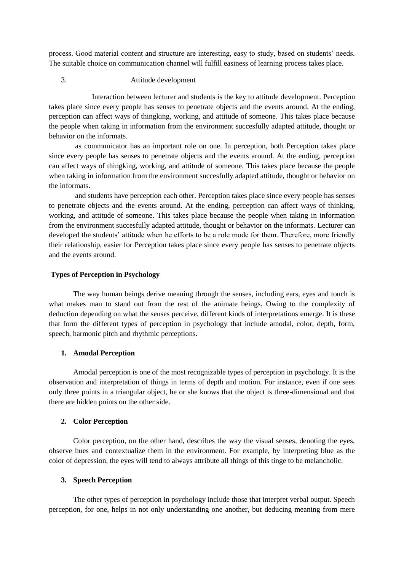process. Good material content and structure are interesting, easy to study, based on students' needs. The suitable choice on communication channel will fulfill easiness of learning process takes place.

## 3. Attitude development

 Interaction between lecturer and students is the key to attitude development. Perception takes place since every people has senses to penetrate objects and the events around. At the ending, perception can affect ways of thingking, working, and attitude of someone. This takes place because the people when taking in information from the environment succesfully adapted attitude, thought or behavior on the informats.

as communicator has an important role on one. In perception, both Perception takes place since every people has senses to penetrate objects and the events around. At the ending, perception can affect ways of thingking, working, and attitude of someone. This takes place because the people when taking in information from the environment succesfully adapted attitude, thought or behavior on the informats.

and students have perception each other. Perception takes place since every people has senses to penetrate objects and the events around. At the ending, perception can affect ways of thinking, working, and attitude of someone. This takes place because the people when taking in information from the environment succesfully adapted attitude, thought or behavior on the informats. Lecturer can developed the students' attitude when he efforts to be a role mode for them. Therefore, more friendly their relationship, easier for Perception takes place since every people has senses to penetrate objects and the events around.

### **Types of Perception in Psychology**

The way human beings derive meaning through the senses, including ears, eyes and touch is what makes man to stand out from the rest of the animate beings. Owing to the complexity of deduction depending on what the senses perceive, different kinds of interpretations emerge. It is these that form the different types of perception in psychology that include amodal, color, depth, form, speech, harmonic pitch and rhythmic perceptions.

#### **1. Amodal Perception**

Amodal perception is one of the most recognizable types of perception in psychology. It is the observation and interpretation of things in terms of depth and motion. For instance, even if one sees only three points in a triangular object, he or she knows that the object is three-dimensional and that there are hidden points on the other side.

#### **2. Color Perception**

Color perception, on the other hand, describes the way the visual senses, denoting the eyes, observe hues and contextualize them in the environment. For example, by interpreting blue as the color of depression, the eyes will tend to always attribute all things of this tinge to be melancholic.

### **3. Speech Perception**

The other types of perception in psychology include those that interpret verbal output. Speech perception, for one, helps in not only understanding one another, but deducing meaning from mere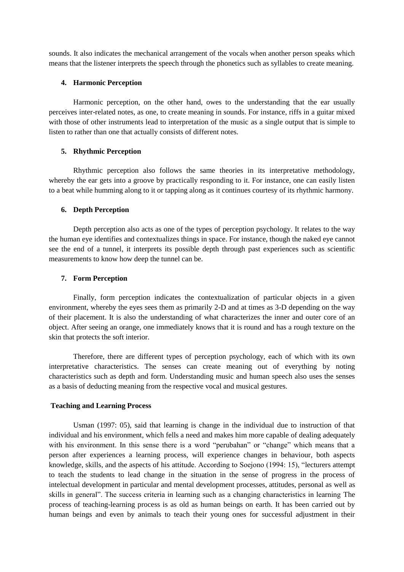sounds. It also indicates the mechanical arrangement of the vocals when another person speaks which means that the listener interprets the speech through the phonetics such as syllables to create meaning.

#### **4. Harmonic Perception**

Harmonic perception, on the other hand, owes to the understanding that the ear usually perceives inter-related notes, as one, to create meaning in sounds. For instance, riffs in a guitar mixed with those of other instruments lead to interpretation of the music as a single output that is simple to listen to rather than one that actually consists of different notes.

### **5. Rhythmic Perception**

Rhythmic perception also follows the same theories in its interpretative methodology, whereby the ear gets into a groove by practically responding to it. For instance, one can easily listen to a beat while humming along to it or tapping along as it continues courtesy of its rhythmic harmony.

#### **6. Depth Perception**

Depth perception also acts as one of the types of perception psychology. It relates to the way the human eye identifies and contextualizes things in space. For instance, though the naked eye cannot see the end of a tunnel, it interprets its possible depth through past experiences such as scientific measurements to know how deep the tunnel can be.

### **7. Form Perception**

Finally, form perception indicates the contextualization of particular objects in a given environment, whereby the eyes sees them as primarily 2-D and at times as 3-D depending on the way of their placement. It is also the understanding of what characterizes the inner and outer core of an object. After seeing an orange, one immediately knows that it is round and has a rough texture on the skin that protects the soft interior.

Therefore, there are different types of perception psychology, each of which with its own interpretative characteristics. The senses can create meaning out of everything by noting characteristics such as depth and form. Understanding music and human speech also uses the senses as a basis of deducting meaning from the respective vocal and musical gestures.

#### **Teaching and Learning Process**

Usman (1997: 05), said that learning is change in the individual due to instruction of that individual and his environment, which fells a need and makes him more capable of dealing adequately with his environment. In this sense there is a word "perubahan" or "change" which means that a person after experiences a learning process, will experience changes in behaviour, both aspects knowledge, skills, and the aspects of his attitude. According to Soejono (1994: 15), "lecturers attempt to teach the students to lead change in the situation in the sense of progress in the process of intelectual development in particular and mental development processes, attitudes, personal as well as skills in general". The success criteria in learning such as a changing characteristics in learning The process of teaching-learning process is as old as human beings on earth. It has been carried out by human beings and even by animals to teach their young ones for successful adjustment in their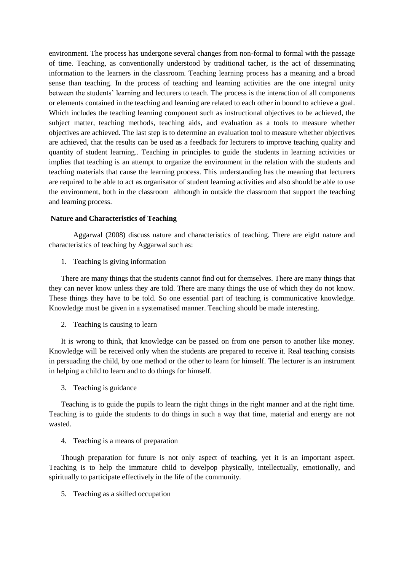environment. The process has undergone several changes from non-formal to formal with the passage of time. Teaching, as conventionally understood by traditional tacher, is the act of disseminating information to the learners in the classroom. Teaching learning process has a meaning and a broad sense than teaching. In the process of teaching and learning activities are the one integral unity between the students' learning and lecturers to teach. The process is the interaction of all components or elements contained in the teaching and learning are related to each other in bound to achieve a goal. Which includes the teaching learning component such as instructional objectives to be achieved, the subject matter, teaching methods, teaching aids, and evaluation as a tools to measure whether objectives are achieved. The last step is to determine an evaluation tool to measure whether objectives are achieved, that the results can be used as a feedback for lecturers to improve teaching quality and quantity of student learning.. Teaching in principles to guide the students in learning activities or implies that teaching is an attempt to organize the environment in the relation with the students and teaching materials that cause the learning process. This understanding has the meaning that lecturers are required to be able to act as organisator of student learning activities and also should be able to use the environment, both in the classroom although in outside the classroom that support the teaching and learning process.

### **Nature and Characteristics of Teaching**

Aggarwal (2008) discuss nature and characteristics of teaching. There are eight nature and characteristics of teaching by Aggarwal such as:

1. Teaching is giving information

There are many things that the students cannot find out for themselves. There are many things that they can never know unless they are told. There are many things the use of which they do not know. These things they have to be told. So one essential part of teaching is communicative knowledge. Knowledge must be given in a systematised manner. Teaching should be made interesting.

2. Teaching is causing to learn

It is wrong to think, that knowledge can be passed on from one person to another like money. Knowledge will be received only when the students are prepared to receive it. Real teaching consists in persuading the child, by one method or the other to learn for himself. The lecturer is an instrument in helping a child to learn and to do things for himself.

3. Teaching is guidance

Teaching is to guide the pupils to learn the right things in the right manner and at the right time. Teaching is to guide the students to do things in such a way that time, material and energy are not wasted.

4. Teaching is a means of preparation

Though preparation for future is not only aspect of teaching, yet it is an important aspect. Teaching is to help the immature child to develpop physically, intellectually, emotionally, and spiritually to participate effectively in the life of the community.

5. Teaching as a skilled occupation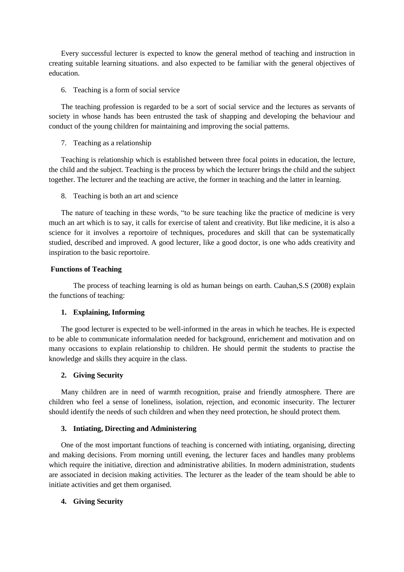Every successful lecturer is expected to know the general method of teaching and instruction in creating suitable learning situations. and also expected to be familiar with the general objectives of education.

### 6. Teaching is a form of social service

The teaching profession is regarded to be a sort of social service and the lectures as servants of society in whose hands has been entrusted the task of shapping and developing the behaviour and conduct of the young children for maintaining and improving the social patterns.

### 7. Teaching as a relationship

Teaching is relationship which is established between three focal points in education, the lecture, the child and the subject. Teaching is the process by which the lecturer brings the child and the subject together. The lecturer and the teaching are active, the former in teaching and the latter in learning.

### 8. Teaching is both an art and science

The nature of teaching in these words, "to be sure teaching like the practice of medicine is very much an art which is to say, it calls for exercise of talent and creativity. But like medicine, it is also a science for it involves a reportoire of techniques, procedures and skill that can be systematically studied, described and improved. A good lecturer, like a good doctor, is one who adds creativity and inspiration to the basic reportoire.

### **Functions of Teaching**

The process of teaching learning is old as human beings on earth. Cauhan,S.S (2008) explain the functions of teaching:

## **1. Explaining, Informing**

The good lecturer is expected to be well-informed in the areas in which he teaches. He is expected to be able to communicate informalation needed for background, enrichement and motivation and on many occasions to explain relationship to children. He should permit the students to practise the knowledge and skills they acquire in the class.

## **2. Giving Security**

Many children are in need of warmth recognition, praise and friendly atmosphere. There are children who feel a sense of loneliness, isolation, rejection, and economic insecurity. The lecturer should identify the needs of such children and when they need protection, he should protect them.

### **3. Intiating, Directing and Administering**

One of the most important functions of teaching is concerned with intiating, organising, directing and making decisions. From morning untill evening, the lecturer faces and handles many problems which require the initiative, direction and administrative abilities. In modern administration, students are associated in decision making activities. The lecturer as the leader of the team should be able to initiate activities and get them organised.

## **4. Giving Security**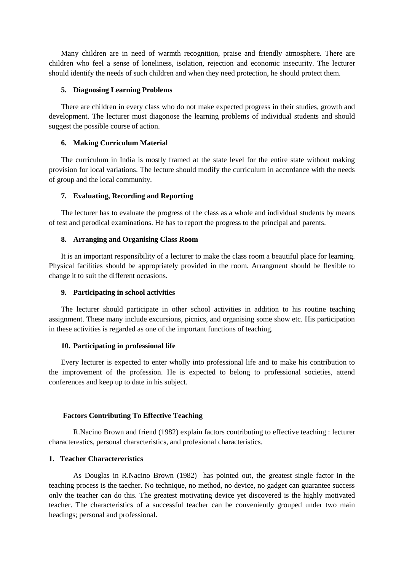Many children are in need of warmth recognition, praise and friendly atmosphere. There are children who feel a sense of loneliness, isolation, rejection and economic insecurity. The lecturer should identify the needs of such children and when they need protection, he should protect them.

### **5. Diagnosing Learning Problems**

There are children in every class who do not make expected progress in their studies, growth and development. The lecturer must diagonose the learning problems of individual students and should suggest the possible course of action.

#### **6. Making Curriculum Material**

The curriculum in India is mostly framed at the state level for the entire state without making provision for local variations. The lecture should modify the curriculum in accordance with the needs of group and the local community.

### **7. Evaluating, Recording and Reporting**

The lecturer has to evaluate the progress of the class as a whole and individual students by means of test and perodical examinations. He has to report the progress to the principal and parents.

#### **8. Arranging and Organising Class Room**

It is an important responsibility of a lecturer to make the class room a beautiful place for learning. Physical facilities should be appropriately provided in the room. Arrangment should be flexible to change it to suit the different occasions.

#### **9. Participating in school activities**

The lecturer should participate in other school activities in addition to his routine teaching assignment. These many include excursions, picnics, and organising some show etc. His participation in these activities is regarded as one of the important functions of teaching.

### **10. Participating in professional life**

Every lecturer is expected to enter wholly into professional life and to make his contribution to the improvement of the profession. He is expected to belong to professional societies, attend conferences and keep up to date in his subject.

#### **Factors Contributing To Effective Teaching**

R.Nacino Brown and friend (1982) explain factors contributing to effective teaching : lecturer characterestics, personal characteristics, and profesional characteristics.

### **1. Teacher Charactereristics**

As Douglas in R.Nacino Brown (1982) has pointed out, the greatest single factor in the teaching process is the taecher. No technique, no method, no device, no gadget can guarantee success only the teacher can do this. The greatest motivating device yet discovered is the highly motivated teacher. The characteristics of a successful teacher can be conveniently grouped under two main headings; personal and professional.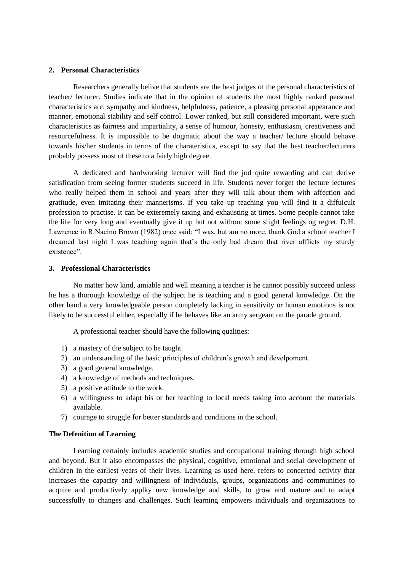### **2. Personal Characteristics**

Researchers generally belive that students are the best judges of the personal characteristics of teacher/ lecturer. Studies indicate that in the opinion of students the most highly ranked personal characteristics are: sympathy and kindness, helpfulness, patience, a pleasing personal appearance and manner, emotional stability and self control. Lower ranked, but still considered important, were such characteristics as fairness and impartiality, a sense of humour, honesty, enthusiasm, creativeness and resourcefulness. It is impossible to be dogmatic about the way a teacher/ lecture should behave towards his/her students in terms of the charateristics, except to say that the best teacher/lecturers probably possess most of these to a fairly high degree.

A dedicated and hardworking lecturer will find the jod quite rewarding and can derive satisfication from seeing former students succeed in life. Students never forget the lecture lectures who really helped them in school and years after they will talk about them with affection and gratitude, even imitating their mannerisms. If you take up teaching you will find it a diffuicult profession to practise. It can be exteremely taxing and exhausting at times. Some people cannot take the life for very long and eventually give it up but not without some slight feelings og regret. D.H. Lawrence in R.Nacino Brown (1982) once said: "I was, but am no more, thank God a school teacher I dreamed last night I was teaching again that's the only bad dream that river afflicts my sturdy existence".

#### **3. Professional Characteristics**

No matter how kind, amiable and well meaning a teacher is he cannot possibly succeed unless he has a thorough knowledge of the subject he is teaching and a good general knowledge. On the other hand a very knowledgeable person completely lacking in sensitivity or human emotions is not likely to be successful either, especially if he behaves like an army sergeant on the parade ground.

A professional teacher should have the following qualities:

- 1) a mastery of the subject to be taught.
- 2) an understanding of the basic principles of children's growth and develpoment.
- 3) a good general knowledge.
- 4) a knowledge of methods and techniques.
- 5) a positive attitude to the work.
- 6) a willingness to adapt his or her teaching to local needs taking into account the materials available.
- 7) courage to struggle for better standards and conditions in the school.

### **The Defenition of Learning**

Learning certainly includes academic studies and occupational training through high school and beyond. But it also encompasses the physical, cognitive, emotional and social development of children in the earliest years of their lives. Learning as used here, refers to concerted activity that increases the capacity and willingness of individuals, groups, organizations and communities to acquire and productively applky new knowledge and skills, to grow and mature and to adapt successfully to changes and challenges. Such learning empowers individuals and organizations to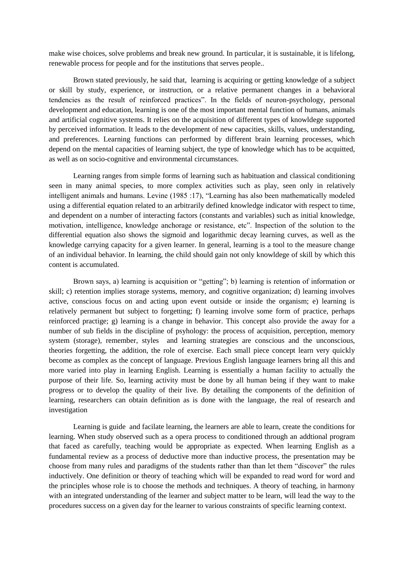make wise choices, solve problems and break new ground. In particular, it is sustainable, it is lifelong, renewable process for people and for the institutions that serves people..

Brown stated previously, he said that, learning is acquiring or getting knowledge of a subject or skill by study, experience, or instruction, or a relative permanent changes in a behavioral tendencies as the result of reinforced practices". In the fields of neuron-psychology, personal development and education, learning is one of the most important mental function of humans, animals and artificial cognitive systems. It relies on the acquisition of different types of knowldege supported by perceived information. It leads to the development of new capacities, skills, values, understanding, and preferences. Learning functions can performed by different brain learning processes, which depend on the mental capacities of learning subject, the type of knowledge which has to be acquitted, as well as on socio-cognitive and environmental circumstances.

Learning ranges from simple forms of learning such as habituation and classical conditioning seen in many animal species, to more complex activities such as play, seen only in relatively intelligent animals and humans. Levine (1985 :17), "Learning has also been mathematically modeled using a differential equation related to an arbitrarily defined knowledge indicator with respect to time, and dependent on a number of interacting factors (constants and variables) such as initial knowledge, motivation, intelligence, knowledge anchorage or resistance, etc". Inspection of the solution to the differential equation also shows the sigmoid and logarithmic decay learning curves, as well as the knowledge carrying capacity for a given learner. In general, learning is a tool to the measure change of an individual behavior. In learning, the child should gain not only knowldege of skill by which this content is accumulated.

Brown says, a) learning is acquisition or "getting"; b) learning is retention of information or skill; c) retention implies storage systems, memory, and cognitive organization; d) learning involves active, conscious focus on and acting upon event outside or inside the organism; e) learning is relatively permanent but subject to forgetting; f) learning involve some form of practice, perhaps reinforced practige; g) learning is a change in behavior. This concept also provide the away for a number of sub fields in the discipline of psyhology: the process of acquisition, perception, memory system (storage), remember, styles and learning strategies are conscious and the unconscious, theories forgetting, the addition, the role of exercise. Each small piece concept learn very quickly become as complex as the concept of language. Previous English language learners bring all this and more varied into play in learning English. Learning is essentially a human facility to actually the purpose of their life. So, learning activity must be done by all human being if they want to make progress or to develop the quality of their live. By detailing the components of the definition of learning, researchers can obtain definition as is done with the language, the real of research and investigation

Learning is guide and facilate learning, the learners are able to learn, create the conditions for learning. When study observed such as a opera process to conditioned through an addtional program that faced as carefully, teaching would be appropriate as expected. When learning English as a fundamental review as a process of deductive more than inductive process, the presentation may be choose from many rules and paradigms of the students rather than than let them "discover" the rules inductively. One definition or theory of teaching which will be expanded to read word for word and the principles whose role is to choose the methods and techniques. A theory of teaching, in harmony with an integrated understanding of the learner and subject matter to be learn, will lead the way to the procedures success on a given day for the learner to various constraints of specific learning context.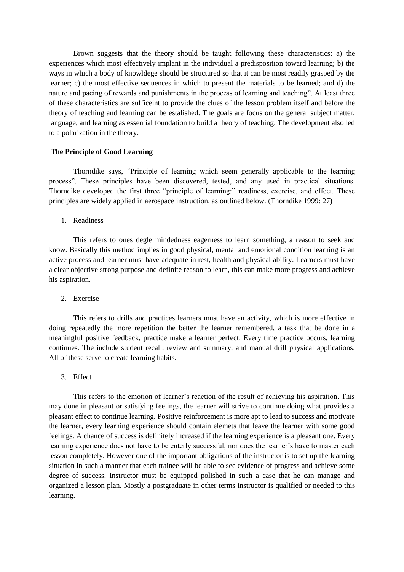Brown suggests that the theory should be taught following these characteristics: a) the experiences which most effectively implant in the individual a predisposition toward learning; b) the ways in which a body of knowldege should be structured so that it can be most readily grasped by the learner; c) the most effective sequences in which to present the materials to be learned; and d) the nature and pacing of rewards and punishments in the process of learning and teaching". At least three of these characteristics are sufficeint to provide the clues of the lesson problem itself and before the theory of teaching and learning can be estalished. The goals are focus on the general subject matter, language, and learning as essential foundation to build a theory of teaching. The development also led to a polarization in the theory.

### **The Principle of Good Learning**

Thorndike says, "Principle of learning which seem generally applicable to the learning process". These principles have been discovered, tested, and any used in practical situations. Thorndike developed the first three "principle of learning:" readiness, exercise, and effect. These principles are widely applied in aerospace instruction, as outlined below. (Thorndike 1999: 27)

1. Readiness

This refers to ones degle mindedness eagerness to learn something, a reason to seek and know. Basically this method implies in good physical, mental and emotional condition learning is an active process and learner must have adequate in rest, health and physical ability. Learners must have a clear objective strong purpose and definite reason to learn, this can make more progress and achieve his aspiration.

2. Exercise

This refers to drills and practices learners must have an activity, which is more effective in doing repeatedly the more repetition the better the learner remembered, a task that be done in a meaningful positive feedback, practice make a learner perfect. Every time practice occurs, learning continues. The include student recall, review and summary, and manual drill physical applications. All of these serve to create learning habits.

3. Effect

This refers to the emotion of learner's reaction of the result of achieving his aspiration. This may done in pleasant or satisfying feelings, the learner will strive to continue doing what provides a pleasant effect to continue learning. Positive reinforcement is more apt to lead to success and motivate the learner, every learning experience should contain elemets that leave the learner with some good feelings. A chance of success is definitely increased if the learning experience is a pleasant one. Every learning experience does not have to be enterly successful, nor does the learner's have to master each lesson completely. However one of the important obligations of the instructor is to set up the learning situation in such a manner that each trainee will be able to see evidence of progress and achieve some degree of success. Instructor must be equipped polished in such a case that he can manage and organized a lesson plan. Mostly a postgraduate in other terms instructor is qualified or needed to this learning.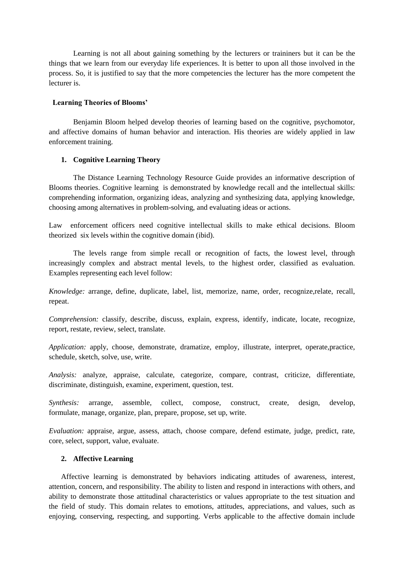Learning is not all about gaining something by the lecturers or traininers but it can be the things that we learn from our everyday life experiences. It is better to upon all those involved in the process. So, it is justified to say that the more competencies the lecturer has the more competent the lecturer is.

### **Learning Theories of Blooms'**

Benjamin Bloom helped develop theories of learning based on the cognitive, psychomotor, and affective domains of human behavior and interaction. His theories are widely applied in law enforcement training.

## **1. Cognitive Learning Theory**

The Distance Learning Technology Resource Guide provides an informative description of Blooms theories. Cognitive learning is demonstrated by knowledge recall and the intellectual skills: comprehending information, organizing ideas, analyzing and synthesizing data, applying knowledge, choosing among alternatives in problem-solving, and evaluating ideas or actions.

Law enforcement officers need cognitive intellectual skills to make ethical decisions. Bloom theorized six levels within the cognitive domain (ibid).

The levels range from simple recall or recognition of facts, the lowest level, through increasingly complex and abstract mental levels, to the highest order, classified as evaluation. Examples representing each level follow:

*Knowledge:* arrange, define, duplicate, label, list, memorize, name, order, recognize,relate, recall, repeat.

*Comprehension:* classify, describe, discuss, explain, express, identify, indicate, locate, recognize, report, restate, review, select, translate.

*Application:* apply, choose, demonstrate, dramatize, employ, illustrate, interpret, operate,practice, schedule, sketch, solve, use, write.

*Analysis:* analyze, appraise, calculate, categorize, compare, contrast, criticize, differentiate, discriminate, distinguish, examine, experiment, question, test.

*Synthesis:* arrange, assemble, collect, compose, construct, create, design, develop, formulate, manage, organize, plan, prepare, propose, set up, write.

*Evaluation:* appraise, argue, assess, attach, choose compare, defend estimate, judge, predict, rate, core, select, support, value, evaluate.

### **2. Affective Learning**

Affective learning is demonstrated by behaviors indicating attitudes of awareness, interest, attention, concern, and responsibility. The ability to listen and respond in interactions with others, and ability to demonstrate those attitudinal characteristics or values appropriate to the test situation and the field of study. This domain relates to emotions, attitudes, appreciations, and values, such as enjoying, conserving, respecting, and supporting. Verbs applicable to the affective domain include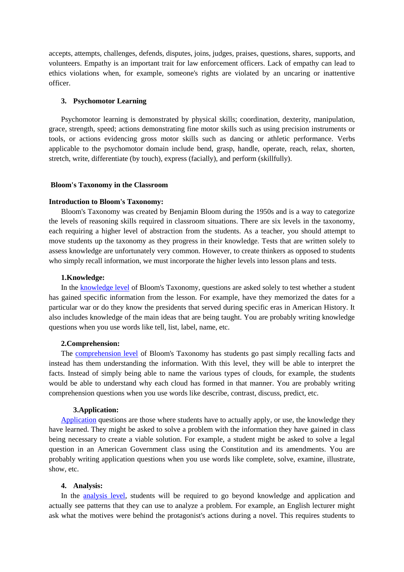accepts, attempts, challenges, defends, disputes, joins, judges, praises, questions, shares, supports, and volunteers. Empathy is an important trait for law enforcement officers. Lack of empathy can lead to ethics violations when, for example, someone's rights are violated by an uncaring or inattentive officer.

### **3. Psychomotor Learning**

Psychomotor learning is demonstrated by physical skills; coordination, dexterity, manipulation, grace, strength, speed; actions demonstrating fine motor skills such as using precision instruments or tools, or actions evidencing gross motor skills such as dancing or athletic performance. Verbs applicable to the psychomotor domain include bend, grasp, handle, operate, reach, relax, shorten, stretch, write, differentiate (by touch), express (facially), and perform (skillfully).

#### **Bloom's Taxonomy in the Classroom**

#### **Introduction to Bloom's Taxonomy:**

Bloom's Taxonomy was created by Benjamin Bloom during the 1950s and is a way to categorize the levels of reasoning skills required in classroom situations. There are six levels in the taxonomy, each requiring a higher level of abstraction from the students. As a teacher, you should attempt to move students up the taxonomy as they progress in their knowledge. Tests that are written solely to assess knowledge are unfortunately very common. However, to create thinkers as opposed to students who simply recall information, we must incorporate the higher levels into lesson plans and tests.

#### **1.Knowledge:**

In the [knowledge level](http://712educators.about.com/od/testconstruction/p/blooms_knowledge.htm) of Bloom's Taxonomy, questions are asked solely to test whether a student has gained specific information from the lesson. For example, have they memorized the dates for a particular war or do they know the presidents that served during specific eras in American History. It also includes knowledge of the main ideas that are being taught. You are probably writing knowledge questions when you use words like tell, list, label, name, etc.

#### **2.Comprehension:**

The [comprehension level](http://712educators.about.com/od/testconstruction/p/blooms_comprehension.htm) of Bloom's Taxonomy has students go past simply recalling facts and instead has them understanding the information. With this level, they will be able to interpret the facts. Instead of simply being able to name the various types of clouds, for example, the students would be able to understand why each cloud has formed in that manner. You are probably writing comprehension questions when you use words like describe, contrast, discuss, predict, etc.

#### **3.Application:**

[Application](http://712educators.about.com/od/testconstruction/p/blooms_application.htm) questions are those where students have to actually apply, or use, the knowledge they have learned. They might be asked to solve a problem with the information they have gained in class being necessary to create a viable solution. For example, a student might be asked to solve a legal question in an American Government class using the Constitution and its amendments. You are probably writing application questions when you use words like complete, solve, examine, illustrate, show, etc.

#### **4. Analysis:**

In the [analysis level,](http://712educators.about.com/od/testconstruction/p/blooms_analysis.htm) students will be required to go beyond knowledge and application and actually see patterns that they can use to analyze a problem. For example, an English lecturer might ask what the motives were behind the protagonist's actions during a novel. This requires students to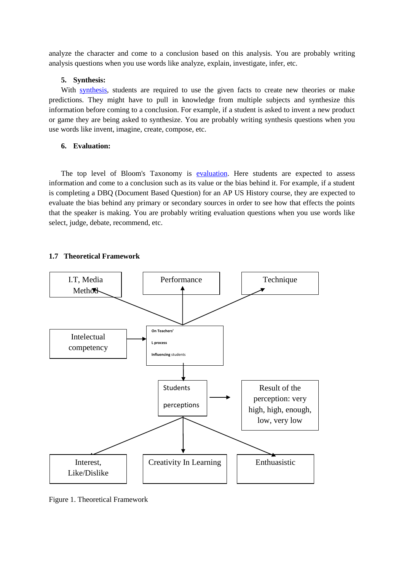analyze the character and come to a conclusion based on this analysis. You are probably writing analysis questions when you use words like analyze, explain, investigate, infer, etc.

#### **5. Synthesis:**

With [synthesis,](http://712educators.about.com/od/testconstruction/p/blooms_synthesis.htm) students are required to use the given facts to create new theories or make predictions. They might have to pull in knowledge from multiple subjects and synthesize this information before coming to a conclusion. For example, if a student is asked to invent a new product or game they are being asked to synthesize. You are probably writing synthesis questions when you use words like invent, imagine, create, compose, etc.

### **6. Evaluation:**

The top level of Bloom's Taxonomy is [evaluation.](http://712educators.about.com/od/testconstruction/p/blooms_evaluation.htm) Here students are expected to assess information and come to a conclusion such as its value or the bias behind it. For example, if a student is completing a DBQ (Document Based Question) for an AP US History course, they are expected to evaluate the bias behind any primary or secondary sources in order to see how that effects the points that the speaker is making. You are probably writing evaluation questions when you use words like select, judge, debate, recommend, etc.

## **1.7 Theoretical Framework**



Figure 1. Theoretical Framework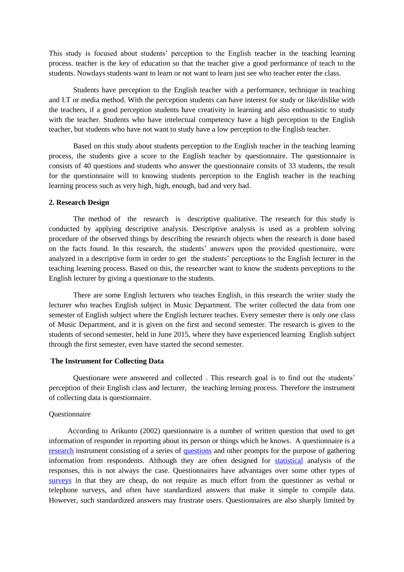This study is focused about students' perception to the English teacher in the teaching learning process. teacher is the key of education so that the teacher give a good performance of teach to the students. Nowdays students want to learn or not want to learn just see who teacher enter the class.

Students have perception to the English teacher with a performance, technique in teaching and I.T or media method. With the perception students can have interest for study or like/dislike with the teachers, if a good perception students have creativity in learning and also enthuasistic to study with the teacher. Students who have intelectual competency have a high perception to the English teacher, but students who have not want to study have a low perception to the English teacher.

Based on this study about students perception to the English teacher in the teaching learning process, the students give a score to the English teacher by questionnaire. The questionnaire is consists of 40 questions and students who answer the questionnaire consits of 33 students, the result for the questionnaire will to knowing students perception to the English teacher in the teaching learning process such as very high, high, enough, bad and very bad.

### **2. Research Design**

The method of the research is descriptive qualitative. The research for this study is conducted by applying descriptive analysis. Descriptive analysis is used as a problem solving procedure of the observed things by describing the research objects when the research is done based on the facts found. In this research, the students' answers upon the provided questionaire, were analyzed in a descriptive form in order to get the students' perceptions to the English lecturer in the teaching learning process. Based on this, the researcher want to know the students perceptions to the English lecturer by giving a questionare to the students.

There are some English lecturers who teaches English, in this research the writer study the lecturer who teaches English subject in Music Department. The writer collected the data from one semester of English subject where the English lecturer teaches. Every semester there is only one class of Music Department, and it is given on the first and second semester. The research is given to the students of second semester, held in June 2015, where they have experienced learning English subject through the first semester, even have started the second semester.

### **The Instrument for Collecting Data**

Questionare were answered and collected . This research goal is to find out the students' perception of their English class and lecturer, the teaching lerning process. Therefore the instrument of collecting data is questionnaire.

### Questionnaire

 According to Arikunto (2002) questionnaire is a number of written question that used to get information of responder in reporting about its person or things which he knows. A questionnaire is a [research](http://en.wikipedia.org/wiki/Research) instrument consisting of a series of [questions](http://en.wikipedia.org/wiki/Question) and other prompts for the purpose of gathering information from respondents. Although they are often designed for [statistical](http://en.wikipedia.org/wiki/Statistics) analysis of the responses, this is not always the case. Questionnaires have advantages over some other types of [surveys](http://en.wikipedia.org/wiki/Statistical_survey) in that they are cheap, do not require as much effort from the questioner as verbal or telephone surveys, and often have standardized answers that make it simple to compile data. However, such standardized answers may frustrate users. Questionnaires are also sharply limited by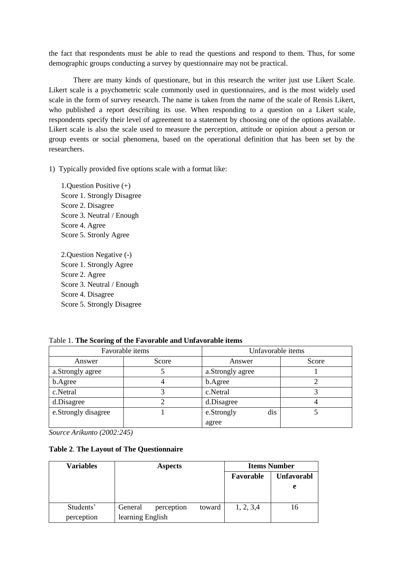the fact that respondents must be able to read the questions and respond to them. Thus, for some demographic groups conducting a survey by questionnaire may not be practical.

There are many kinds of questionare, but in this research the writer just use Likert Scale. Likert scale is a psychometric scale commonly used in questionnaires, and is the most widely used scale in the form of survey research. The name is taken from the name of the scale of Rensis Likert, who published a report describing its use. When responding to a question on a Likert scale, respondents specify their level of agreement to a statement by choosing one of the options available. Likert scale is also the scale used to measure the perception, attitude or opinion about a person or group events or social phenomena, based on the operational definition that has been set by the researchers.

1) Typically provided five options scale with a format like:

1.Question Positive (+) Score 1. Strongly Disagree Score 2. Disagree Score 3. Neutral / Enough Score 4. Agree Score 5. Stronly Agree

2.Question Negative (-) Score 1. Strongly Agree Score 2. Agree Score 3. Neutral / Enough Score 4. Disagree Score 5. Strongly Disagree

|                     | Favorable items | Unfavorable items |       |
|---------------------|-----------------|-------------------|-------|
| Answer              | Score           | Answer            | Score |
| a.Strongly agree    |                 | a.Strongly agree  |       |
| b.Agree             |                 | b.Agree           |       |
| c.Netral            |                 | c.Netral          |       |
| d.Disagree          |                 | d.Disagree        |       |
| e.Strongly disagree |                 | dis<br>e.Strongly |       |
|                     |                 | agree             |       |

Table 1. **The Scoring of the Favorable and Unfavorable items**

*Source Arikunto (2002:245)*

## **Table 2**. **The Layout of The Questionnaire**

| <b>Variables</b> |                  | <b>Aspects</b> |        |            | <b>Items Number</b> |
|------------------|------------------|----------------|--------|------------|---------------------|
|                  |                  |                |        | Favorable  | <b>Unfavorabl</b>   |
|                  |                  |                |        |            | e                   |
|                  |                  |                |        |            |                     |
| Students'        | General          | perception     | toward | 1, 2, 3, 4 | 16                  |
| perception       | learning English |                |        |            |                     |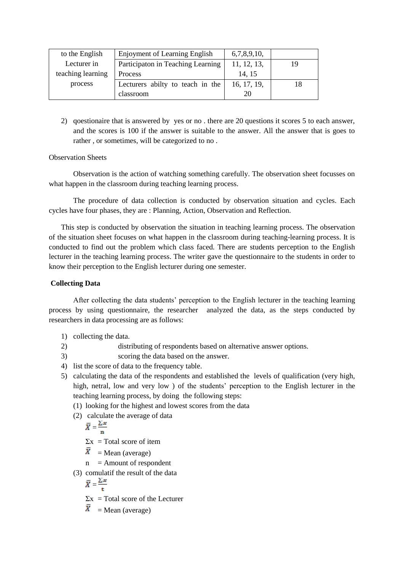| to the English    | <b>Enjoyment of Learning English</b> | 6,7,8,9,10, |    |
|-------------------|--------------------------------------|-------------|----|
| Lecturer in       | Participaton in Teaching Learning    | 11, 12, 13, | 19 |
| teaching learning | Process                              | 14.15       |    |
| process           | Lecturers abilty to teach in the     | 16, 17, 19, | 18 |
|                   | classroom                            | 20          |    |

2) qoestionaire that is answered by yes or no . there are 20 questions it scores 5 to each answer, and the scores is 100 if the answer is suitable to the answer. All the answer that is goes to rather , or sometimes, will be categorized to no .

# Observation Sheets

Observation is the action of watching something carefully. The observation sheet focusses on what happen in the classroom during teaching learning process.

The procedure of data collection is conducted by observation situation and cycles. Each cycles have four phases, they are : Planning, Action, Observation and Reflection.

This step is conducted by observation the situation in teaching learning process. The observation of the situation sheet focuses on what happen in the classroom during teaching-learning process. It is conducted to find out the problem which class faced. There are students perception to the English lecturer in the teaching learning process. The writer gave the questionnaire to the students in order to know their perception to the English lecturer during one semester.

# **Collecting Data**

After collecting the data students' perception to the English lecturer in the teaching learning process by using questionnaire, the researcher analyzed the data, as the steps conducted by researchers in data processing are as follows:

- 1) collecting the data.
- 2) distributing of respondents based on alternative answer options.
- 3) scoring the data based on the answer.
- 4) list the score of data to the frequency table.
- 5) calculating the data of the respondents and established the levels of qualification (very high, high, netral, low and very low ) of the students' perception to the English lecturer in the teaching learning process, by doing the following steps:
	- (1) looking for the highest and lowest scores from the data
	- (2) calculate the average of data

$$
\overline{X} = \frac{\Sigma x}{n}
$$
  
\Sigma x = Total score of item

- $\overline{X}$  = Mean (average)
- $n =$  Amount of respondent
- (3) comulatif the result of the data

$$
\bar{X} = \frac{\sum x}{t}
$$

 $\Sigma$ x = Total score of the Lecturer

 $\overline{X}$  = Mean (average)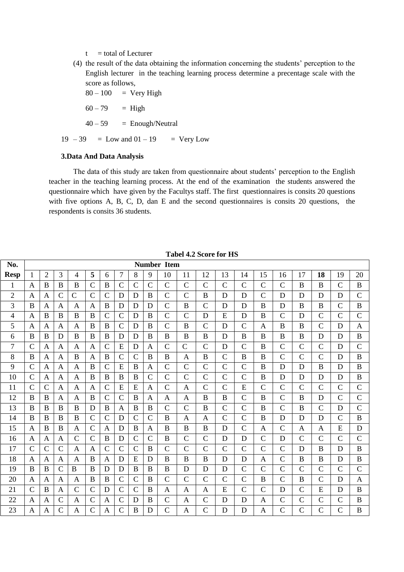$t =$  total of Lecturer

(4) the result of the data obtaining the information concerning the students' perception to the English lecturer in the teaching learning process determine a precentage scale with the score as follows,

 $80 - 100$  = Very High

 $60 - 79 = High$ 

 $40 - 59$  = Enough/Neutral

 $19 - 39 =$  Low and  $01 - 19 =$  Very Low

### **3.Data And Data Analysis**

The data of this study are taken from questionnaire about students' perception to the English teacher in the teaching learning process. At the end of the examination the students answered the questionnaire which have given by the Facultys staff. The first questionnaires is consits 20 questions with five options A, B, C, D, dan E and the second questionnaires is consits 20 questions, the respondents is consits 36 students.

| No.            |                |                |                |                |                |                |                |                |                | <b>Number Item</b> |                |                |                |                |                |                |                |                |                |               |
|----------------|----------------|----------------|----------------|----------------|----------------|----------------|----------------|----------------|----------------|--------------------|----------------|----------------|----------------|----------------|----------------|----------------|----------------|----------------|----------------|---------------|
| <b>Resp</b>    | $\mathbf{1}$   | $\overline{2}$ | 3              | $\overline{4}$ | 5              | 6              | $\overline{7}$ | 8              | 9              | 10                 | 11             | 12             | 13             | 14             | 15             | 16             | 17             | 18             | 19             | 20            |
| $\mathbf{1}$   | $\mathbf{A}$   | B              | B              | B              | $\overline{C}$ | B              | $\overline{C}$ | $\overline{C}$ | $\overline{C}$ | $\overline{C}$     | $\overline{C}$ | $\overline{C}$ | $\overline{C}$ | $\overline{C}$ | $\mathbf C$    | $\overline{C}$ | B              | B              | $\mathbf C$    | $\bf{B}$      |
| $\overline{c}$ | A              | A              | $\mathcal{C}$  | $\mathcal{C}$  | $\mathbf C$    | $\mathcal{C}$  | D              | D              | B              | $\mathbf C$        | $\mathcal{C}$  | B              | D              | D              | $\mathcal{C}$  | D              | D              | D              | D              | $\mathcal{C}$ |
| 3              | B              | A              | A              | A              | A              | B              | D              | D              | D              | $\mathcal{C}$      | B              | $\mathsf{C}$   | D              | D              | B              | D              | B              | B              | $\mathcal{C}$  | $\bf{B}$      |
| 4              | A              | B              | B              | B              | B              | $\mathcal{C}$  | $\mathbf C$    | D              | B              | $\mathbf C$        | $\mathcal{C}$  | D              | E              | D              | B              | $\overline{C}$ | D              | $\mathcal{C}$  | $\mathcal{C}$  | $\mathbf C$   |
| 5              | $\mathbf{A}$   | A              | $\mathbf{A}$   | $\mathbf{A}$   | B              | B              | $\mathcal{C}$  | D              | B              | $\mathbf C$        | B              | $\mathcal{C}$  | D              | $\mathcal{C}$  | A              | B              | B              | $\overline{C}$ | D              | $\mathbf{A}$  |
| 6              | B              | $\bf{B}$       | D              | $\bf{B}$       | $\bf{B}$       | $\bf{B}$       | D              | D              | $\bf{B}$       | B                  | $\bf{B}$       | $\bf{B}$       | D              | $\bf{B}$       | B              | $\mathbf B$    | $\bf{B}$       | D              | D              | $\bf{B}$      |
| $\overline{7}$ | $\mathcal{C}$  | A              | A              | A              | A              | $\mathcal{C}$  | E              | D              | $\mathbf{A}$   | $\mathcal{C}$      | $\mathcal{C}$  | $\overline{C}$ | D              | $\overline{C}$ | B              | $\overline{C}$ | $\overline{C}$ | $\overline{C}$ | D              | $\mathbf C$   |
| 8              | B              | A              | A              | B              | A              | B              | $\mathcal{C}$  | $\mathcal{C}$  | B              | B                  | A              | B              | $\mathcal{C}$  | B              | B              | $\overline{C}$ | $\overline{C}$ | $\overline{C}$ | D              | B             |
| 9              | $\mathcal{C}$  | A              | A              | A              | B              | $\mathcal{C}$  | E              | B              | A              | $\mathcal{C}$      | $\overline{C}$ | $\overline{C}$ | $\overline{C}$ | $\overline{C}$ | B              | D              | D              | B              | D              | B             |
| 10             | $\mathcal{C}$  | A              | $\mathbf{A}$   | A              | B              | B              | B              | B              | $\mathcal{C}$  | $\mathbf C$        | $\mathcal{C}$  | $\mathcal{C}$  | $\mathcal{C}$  | $\mathsf{C}$   | B              | D              | D              | D              | D              | B             |
| 11             | $\mathcal{C}$  | $\mathcal{C}$  | $\mathbf{A}$   | $\mathbf{A}$   | $\mathbf{A}$   | $\mathcal{C}$  | E              | E              | $\mathbf{A}$   | $\mathbf C$        | $\mathbf{A}$   | $\mathcal{C}$  | $\mathcal{C}$  | E              | $\mathcal{C}$  | $\overline{C}$ | $\overline{C}$ | $\mathsf{C}$   | $\overline{C}$ | $\mathbf C$   |
| 12             | $\overline{B}$ | $\bf{B}$       | A              | $\mathbf{A}$   | $\bf{B}$       | $\mathcal{C}$  | $\mathcal{C}$  | $\bf{B}$       | $\mathbf{A}$   | $\mathbf{A}$       | $\mathbf{A}$   | $\bf{B}$       | $\overline{B}$ | $\overline{C}$ | $\overline{B}$ | $\overline{C}$ | $\, {\bf B}$   | D              | $\overline{C}$ | $\mathbf C$   |
| 13             | B              | B              | B              | B              | D              | B              | A              | B              | $\bf{B}$       | $\mathbf C$        | $\overline{C}$ | $\bf{B}$       | $\overline{C}$ | $\overline{C}$ | B              | $\overline{C}$ | $\bf{B}$       | $\overline{C}$ | D              | $\mathbf C$   |
| 14             | B              | B              | B              | B              | $\mathbf C$    | $\mathsf{C}$   | D              | $\mathcal{C}$  | $\mathsf{C}$   | B                  | A              | A              | $\mathsf{C}$   | $\overline{C}$ | B              | D              | D              | D              | $\overline{C}$ | $\bf{B}$      |
| 15             | A              | B              | B              | A              | $\mathbf C$    | A              | D              | B              | A              | B                  | $\bf{B}$       | B              | D              | $\mathcal{C}$  | A              | $\overline{C}$ | A              | A              | E              | D             |
| 16             | $\mathbf{A}$   | A              | $\mathbf{A}$   | $\mathbf C$    | $\mathbf C$    | B              | D              | $\mathcal{C}$  | $\mathcal{C}$  | B                  | $\mathcal{C}$  | $\mathcal{C}$  | D              | D              | $\mathsf{C}$   | D              | $\mathsf{C}$   | $\mathcal{C}$  | $\mathcal{C}$  | $\mathbf C$   |
| 17             | $\mathcal{C}$  | $\mathcal{C}$  | $\mathsf{C}$   | $\mathbf{A}$   | $\mathbf{A}$   | $\overline{C}$ | $\mathcal{C}$  | $\mathcal{C}$  | $\bf{B}$       | $\mathbf C$        | $\mathcal{C}$  | $\mathcal{C}$  | $\overline{C}$ | $\mathcal{C}$  | $\mathbf C$    | $\overline{C}$ | D              | $\mathbf B$    | D              | $\bf{B}$      |
| 18             | $\mathbf{A}$   | A              | A              | A              | B              | $\mathbf{A}$   | D              | E              | D              | B                  | B              | B              | D              | D              | A              | $\overline{C}$ | B              | B              | D              | $\, {\bf B}$  |
| 19             | B              | B              | $\mathcal{C}$  | $\mathbf B$    | B              | D              | D              | B              | $\bf{B}$       | B                  | D              | D              | D              | $\overline{C}$ | $\mathbf C$    | $\overline{C}$ | $\overline{C}$ | $\overline{C}$ | $\mathcal{C}$  | $\mathbf C$   |
| 20             | $\mathbf{A}$   | A              | A              | A              | B              | B              | $\mathcal{C}$  | $\overline{C}$ | B              | $\overline{C}$     | $\overline{C}$ | $\overline{C}$ | $\overline{C}$ | $\overline{C}$ | B              | $\overline{C}$ | B              | $\overline{C}$ | D              | $\mathbf{A}$  |
| 21             | $\mathcal{C}$  | B              | A              | $\mathbf C$    | $\mathcal{C}$  | D              | $\mathcal{C}$  | $\mathcal{C}$  | B              | A                  | A              | A              | E              | $\mathcal{C}$  | $\mathcal{C}$  | D              | $\mathcal{C}$  | E              | D              | $\bf{B}$      |
| 22             | $\overline{A}$ | A              | $\mathcal{C}$  | A              | $\mathcal{C}$  | $\mathbf{A}$   | $\mathcal{C}$  | D              | $\bf{B}$       | $\mathcal{C}$      | A              | $\mathcal{C}$  | D              | D              | A              | $\overline{C}$ | $\overline{C}$ | $\mathcal{C}$  | $\mathcal{C}$  | $\bf{B}$      |
| 23             | $\overline{A}$ | A              | $\overline{C}$ | A              | $\overline{C}$ | $\overline{A}$ | $\overline{C}$ | B              | D              | $\overline{C}$     | $\mathbf{A}$   | $\overline{C}$ | D              | D              | $\mathbf{A}$   | $\overline{C}$ | $\overline{C}$ | $\overline{C}$ | $\overline{C}$ | B             |

**Tabel 4.2 Score for HS**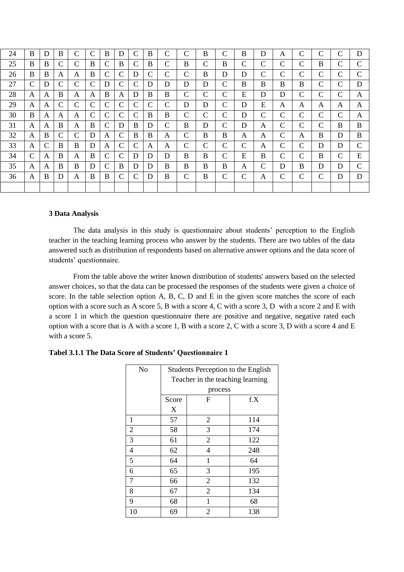| 24 | B             | D             | B            | $\mathsf{C}$  | $\mathsf{C}$  | B             | D             | $\mathcal{C}$ | B             | C | $\mathsf{C}$  | B             | $\mathbf C$   | B           | D | A            | С | C | $\mathcal{C}$ | D             |
|----|---------------|---------------|--------------|---------------|---------------|---------------|---------------|---------------|---------------|---|---------------|---------------|---------------|-------------|---|--------------|---|---|---------------|---------------|
| 25 | B             | B             | $\mathsf{C}$ | $\mathsf{C}$  | B             | $\mathcal{C}$ | $\bf{B}$      | $\mathcal{C}$ | B             | C | B             | $\mathsf{C}$  | B             | $\mathbf C$ | C | C            | С | B | $\mathcal{C}$ | $\mathcal{C}$ |
| 26 | B             | B             | A            | A             | B             | C             | $\mathcal{C}$ | D             | $\mathcal{C}$ | C | $\mathcal{C}$ | B             | D             | D           | C | C            | С | С | $\mathcal{C}$ | $\mathcal{C}$ |
| 27 | $\mathcal{C}$ | D             | $\mathsf{C}$ | $\mathcal{C}$ | $\mathcal{C}$ | D             | $\mathcal{C}$ | $\mathcal{C}$ | D             | D | D             | D             | $\mathbf C$   | B           | B | B            | B | С | $\mathcal{C}$ | D             |
| 28 | A             | A             | B            | A             | A             | B             | A             | D             | B             | B | $\mathcal{C}$ | $\mathcal{C}$ | $\mathcal{C}$ | E           | D | D            | С | C | $\mathcal{C}$ | A             |
| 29 | A             | A             | $\mathsf{C}$ | $\mathsf{C}$  | $\mathcal{C}$ | C             | $\mathcal{C}$ | $\mathcal{C}$ | $\mathcal{C}$ | C | D             | D             | $\mathsf{C}$  | D           | E | A            | A | A | A             | A             |
| 30 | B             | A             | A            | A             | $\mathcal{C}$ | C             | $\mathcal{C}$ | $\mathcal{C}$ | B             | B | $\mathcal{C}$ | C             | $\mathcal{C}$ | D           | C | $\mathsf{C}$ | С | С | $\mathcal{C}$ | A             |
| 31 | A             | A             | B            | A             | B             | C             | D             | B             | D             | C | B             | D             | $\mathbf C$   | D           | A | C            | С | C | B             | B             |
| 32 | A             | B             | $\mathsf{C}$ | $\mathsf{C}$  | D             | А             | $\mathcal{C}$ | B             | B             | A | $\mathsf{C}$  | B             | B             | A           | A | C            | A | B | D             | B             |
| 33 | A             | $\mathcal{C}$ | B            | B             | D             | A             | $\mathcal{C}$ | $\mathcal{C}$ | A             | A | $\mathcal{C}$ | C             | $\mathcal{C}$ | $\mathbf C$ | A | C            | С | D | D             | $\mathcal{C}$ |
| 34 | C             | A             | B            | A             | B             | C             | C             | D             | D             | D | B             | B             | $\mathsf{C}$  | E           | B | C            | С | B | C             | E             |
| 35 | A             | A             | B            | B             | D             | C             | B             | D             | D             | B | B             | B             | B             | A           | C | D            | B | D | D             | $\mathcal{C}$ |
| 36 | A             | B             | D            | A             | B             | B             | $\mathcal{C}$ | $\mathcal{C}$ | D             | B | $\mathsf{C}$  | B             | $\mathcal{C}$ | $\mathbf C$ | A | C            | С | С | D             | D             |
|    |               |               |              |               |               |               |               |               |               |   |               |               |               |             |   |              |   |   |               |               |

### **3 Data Analysis**

The data analysis in this study is questionnaire about students' perception to the English teacher in the teaching learning process who answer by the students. There are two tables of the data answered such as distribution of respondents based on alternative answer options and the data score of students' questionnaire.

From the table above the writer known distribution of students' answers based on the selected answer choices, so that the data can be processed the responses of the students were given a choice of score. In the table selection option A, B, C, D and E in the given score matches the score of each option with a score such as A score 5, B with a score 4, C with a score 3, D with a score 2 and E with a score 1 in which the question questionnaire there are positive and negative, negative rated each option with a score that is A with a score 1, B with a score 2, C with a score 3, D with a score 4 and E with a score 5.

| No             | Students Perception to the English<br>Teacher in the teaching learning |                |     |  |  |  |  |  |  |  |  |  |  |
|----------------|------------------------------------------------------------------------|----------------|-----|--|--|--|--|--|--|--|--|--|--|
|                |                                                                        |                |     |  |  |  |  |  |  |  |  |  |  |
|                | process<br>F                                                           |                |     |  |  |  |  |  |  |  |  |  |  |
|                | Score                                                                  |                | f.X |  |  |  |  |  |  |  |  |  |  |
|                | X                                                                      |                |     |  |  |  |  |  |  |  |  |  |  |
| 1              | 57                                                                     | $\overline{2}$ | 114 |  |  |  |  |  |  |  |  |  |  |
| $\overline{2}$ | 58                                                                     | 3              | 174 |  |  |  |  |  |  |  |  |  |  |
| 3              | 61                                                                     | $\overline{2}$ | 122 |  |  |  |  |  |  |  |  |  |  |
| 4              | 62                                                                     | 4              | 248 |  |  |  |  |  |  |  |  |  |  |
| 5              | 64                                                                     | 1              | 64  |  |  |  |  |  |  |  |  |  |  |
| 6              | 65                                                                     | 3              | 195 |  |  |  |  |  |  |  |  |  |  |
| 7              | 66                                                                     | $\overline{2}$ | 132 |  |  |  |  |  |  |  |  |  |  |
| 8              | 67                                                                     | $\overline{2}$ | 134 |  |  |  |  |  |  |  |  |  |  |
| 9              | 68                                                                     | 1              | 68  |  |  |  |  |  |  |  |  |  |  |
| 10             | 69                                                                     | 2              | 138 |  |  |  |  |  |  |  |  |  |  |

### **Tabel 3.1.1 The Data Score of Students' Questionnaire 1**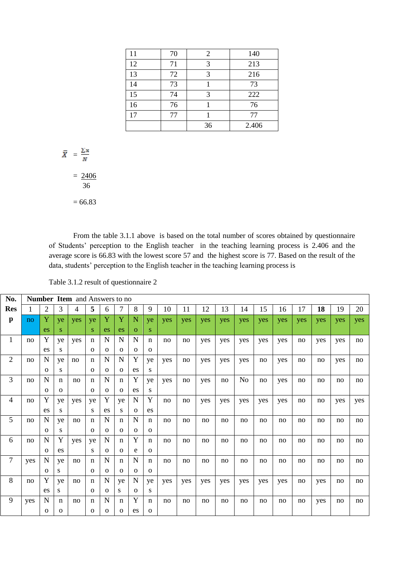| 11 | 70 | 2  | 140   |
|----|----|----|-------|
| 12 | 71 | 3  | 213   |
| 13 | 72 | 3  | 216   |
| 14 | 73 |    | 73    |
| 15 | 74 | 3  | 222   |
| 16 | 76 |    | 76    |
| 17 | 77 |    | 77    |
|    |    | 36 | 2.406 |

$$
\bar{X} = \frac{\sum x}{N}
$$

 $= 2406$ 36

$$
f_{\rm{max}}
$$

 $= 66.83$ 

From the table 3.1.1 above is based on the total number of scores obtained by questionnaire of Students' perception to the English teacher in the teaching learning process is 2.406 and the average score is 66.83 with the lowest score 57 and the highest score is 77. Based on the result of the data, students' perception to the English teacher in the teaching learning process is

| Table 3.1.2 result of questionnaire 2 |  |  |  |  |
|---------------------------------------|--|--|--|--|
|---------------------------------------|--|--|--|--|

| No.            |     |          |              | <b>Number Item and Answers to no</b> |              |          |                |              |              |            |            |            |            |     |     |     |     |     |     |     |
|----------------|-----|----------|--------------|--------------------------------------|--------------|----------|----------------|--------------|--------------|------------|------------|------------|------------|-----|-----|-----|-----|-----|-----|-----|
| <b>Res</b>     | 1   | 2        | 3            | 4                                    | 5            | 6        | $\overline{7}$ | 8            | 9            | 10         | 11         | 12         | 13         | 14  | 15  | 16  | 17  | 18  | 19  | 20  |
| $\mathbf{p}$   | no  | Y        | ye           | yes                                  | ye           | Y        | Y              | N            | ye           | <b>ves</b> | <b>ves</b> | <b>ves</b> | <b>ves</b> | yes | yes | yes | yes | yes | yes | yes |
|                |     | es       | S.           |                                      | S.           | es       | es             | $\Omega$     | S.           |            |            |            |            |     |     |     |     |     |     |     |
| $\mathbf{1}$   | no  | Y        | ye           | yes                                  | n            | N        | $\mathbf N$    | N            | $\mathbf n$  | no         | no         | yes        | yes        | yes | yes | yes | no  | yes | yes | no  |
|                |     | es       | S            |                                      | $\mathbf 0$  | $\Omega$ | $\mathbf{O}$   | $\mathbf{O}$ | $\mathbf 0$  |            |            |            |            |     |     |     |     |     |     |     |
| $\mathfrak{2}$ | no  | N        | ye           | no                                   | $\mathbf n$  | N        | $\mathbf N$    | Y            | ye           | yes        | no         | yes        | yes        | yes | no  | yes | no  | no  | yes | no  |
|                |     | $\Omega$ | S            |                                      | $\mathbf{O}$ | $\Omega$ | $\mathbf{O}$   | es           | S            |            |            |            |            |     |     |     |     |     |     |     |
| 3              | no  | N        | n            | no                                   | n            | N        | $\mathbf n$    | Y            | ye           | yes        | no         | yes        | no         | No  | no  | yes | no  | no  | no  | no  |
|                |     | $\Omega$ | $\mathbf{O}$ |                                      | $\mathbf{O}$ | $\Omega$ | $\mathbf{O}$   | es           | S            |            |            |            |            |     |     |     |     |     |     |     |
| $\overline{4}$ | no  | Y        | ye           | yes                                  | ye           | Y        | ye             | N            | Y            | no         | no         | yes        | yes        | yes | yes | yes | no  | no  | yes | yes |
|                |     | es       | S            |                                      | S            | es       | S              | $\mathbf{O}$ | es           |            |            |            |            |     |     |     |     |     |     |     |
| 5              | no  | N        | ye           | no                                   | n            | N        | $\mathbf n$    | N            | n            | no         | no         | no         | no         | no  | no  | no  | no  | no  | no  | no  |
|                |     | $\Omega$ | S            |                                      | $\mathbf{O}$ | $\Omega$ | $\mathbf{O}$   | $\mathbf{O}$ | $\mathbf{O}$ |            |            |            |            |     |     |     |     |     |     |     |
| 6              | no  | N        | Y            | yes                                  | ye           | N        | n              | Y            | $\mathbf n$  | no         | no         | no         | no         | no  | no  | no  | no  | no  | no  | no  |
|                |     | $\Omega$ | es           |                                      | S            | $\Omega$ | $\Omega$       | e            | $\mathbf{O}$ |            |            |            |            |     |     |     |     |     |     |     |
| $\overline{7}$ | yes | N        | ye           | no                                   | $\mathbf n$  | N        | $\mathbf n$    | $\mathbf N$  | $\mathbf n$  | no         | no         | no         | no         | no  | no  | no  | no  | no  | no  | no  |
|                |     | $\Omega$ | S            |                                      | $\mathbf{O}$ | $\Omega$ | $\mathbf{O}$   | $\Omega$     | $\mathbf{o}$ |            |            |            |            |     |     |     |     |     |     |     |
| 8              | no  | Y        | ye           | no                                   | $\mathbf n$  | N        | ye             | N            | ye           | yes        | yes        | yes        | yes        | yes | yes | yes | no  | yes | no  | no  |
|                |     | es       | S            |                                      | $\mathbf{O}$ | $\Omega$ | S.             | $\Omega$     | S            |            |            |            |            |     |     |     |     |     |     |     |
| 9              | yes | N        | n            | no                                   | $\mathbf n$  | N        | n              | Y            | n            | no         | no         | no         | no         | no  | no  | no  | no  | yes | no  | no  |
|                |     | $\Omega$ | $\mathbf{O}$ |                                      | 0            | $\Omega$ | $\mathbf{O}$   | es           | $\mathbf{O}$ |            |            |            |            |     |     |     |     |     |     |     |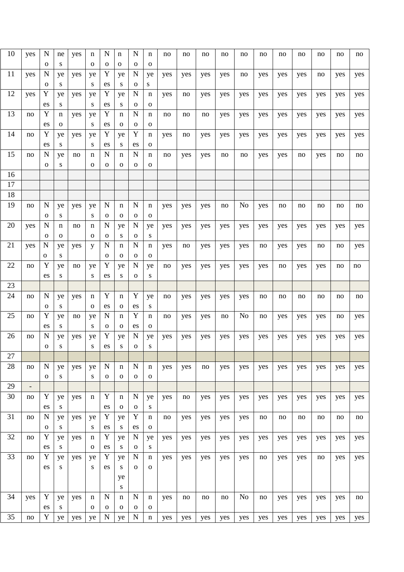| 10 | yes | N                          | ne               | yes | n                  | N                          | n                        | N                           | n                           | no  | no  | no  | no  | no             | no  | no  | no  | no  | no  | no  |
|----|-----|----------------------------|------------------|-----|--------------------|----------------------------|--------------------------|-----------------------------|-----------------------------|-----|-----|-----|-----|----------------|-----|-----|-----|-----|-----|-----|
| 11 | yes | $\mathbf 0$<br>N           | ${\bf S}$<br>ye  | yes | $\mathbf{o}$<br>ye | $\mathbf 0$<br>Y           | 0<br>ye                  | $\mathbf 0$<br>N            | $\mathbf{0}$<br>ye          | yes | yes | yes | yes | no             | yes | yes | yes | no  | yes | yes |
|    |     | $\mathbf 0$                | S                |     | S                  | es                         | S                        | $\mathbf{o}$                | S                           |     |     |     |     |                |     |     |     |     |     |     |
| 12 | yes | Y                          | ye               | yes | ye                 | Y                          | ye                       | N                           | n                           | yes | no  | yes | yes | yes            | yes | yes | yes | yes | yes | yes |
|    |     | es                         | S                |     | S                  | es                         | S                        | $\mathbf 0$                 | $\mathbf{O}$                |     |     |     |     |                |     |     |     |     |     |     |
| 13 | no  | Y<br>es                    | n<br>$\mathbf 0$ | yes | ye<br>S            | Y<br>es                    | n<br>$\mathbf 0$         | $\mathbf N$<br>$\mathbf{O}$ | n<br>$\mathbf{O}$           | no  | no  | no  | yes | yes            | yes | yes | yes | yes | yes | yes |
| 14 | no  | Y                          | ye               | yes | ye                 | Y                          | ye                       | Y                           | n                           | yes | no  | yes | yes | yes            | yes | yes | yes | yes | yes | yes |
|    |     | es                         | S                |     | S                  | es                         | S                        | es                          | 0                           |     |     |     |     |                |     |     |     |     |     |     |
| 15 | no  | $\mathbf N$<br>$\mathbf 0$ | ye<br>S          | no  | n<br>0             | N<br>$\mathbf 0$           | n<br>$\mathbf 0$         | $\mathbf N$<br>$\mathbf 0$  | n<br>0                      | no  | yes | yes | no  | no             | yes | yes | no  | yes | no  | no  |
| 16 |     |                            |                  |     |                    |                            |                          |                             |                             |     |     |     |     |                |     |     |     |     |     |     |
| 17 |     |                            |                  |     |                    |                            |                          |                             |                             |     |     |     |     |                |     |     |     |     |     |     |
| 18 |     |                            |                  |     |                    |                            |                          |                             |                             |     |     |     |     |                |     |     |     |     |     |     |
| 19 | no  | ${\bf N}$                  | ye               | yes | ye                 | N                          | n                        | N                           | n                           | yes | yes | yes | no  | No             | yes | no  | no  | no  | no  | no  |
| 20 | yes | 0<br>$\mathbf N$           | S<br>n           | no  | S<br>n             | $\mathbf 0$<br>N           | $\mathbf 0$<br>ye        | $\mathbf 0$<br>N            | $\mathbf 0$<br>ye           | yes | yes | yes | yes | yes            | yes | yes | yes | yes | yes | yes |
|    |     | $\mathbf 0$                | $\mathbf 0$      |     | $\mathbf{o}$       | $\mathbf 0$                | S                        | $\mathbf 0$                 | S                           |     |     |     |     |                |     |     |     |     |     |     |
| 21 | yes | $\mathbf N$                | ye               | yes | y                  | N                          | n                        | N                           | n                           | yes | no  | yes | yes | yes            | no  | yes | yes | no  | no  | yes |
|    |     | $\mathbf 0$                | ${\bf S}$        |     |                    | $\mathbf 0$                | $\mathbf 0$              | $\mathbf 0$                 | $\mathbf{0}$                |     |     |     |     |                |     |     |     |     |     |     |
| 22 | no  | Y                          | ye               | no  | ye                 | Y                          | ye                       | N                           | ye                          | no  | yes | yes | yes | yes            | yes | no  | yes | yes | no  | no  |
|    |     | es                         | S                |     | ${\bf S}$          | es                         | S                        | $\mathbf{o}$                | ${\bf S}$                   |     |     |     |     |                |     |     |     |     |     |     |
| 23 |     |                            |                  |     |                    |                            |                          |                             |                             |     |     |     |     |                |     |     |     |     |     |     |
| 24 | no  | $\mathbf N$<br>0           | ye<br>S          | yes | n<br>O             | Y<br>es                    | n<br>$\mathbf 0$         | Y<br>es                     | ye<br>S                     | no  | yes | yes | yes | yes            | no  | no  | no  | no  | no  | no  |
| 25 | no  | Y                          | ye               | no  | ye                 | N                          | n                        | Y                           | n                           | no  | yes | yes | no  | No             | no  | yes | yes | yes | no  | yes |
|    |     | es                         | S                |     | S                  | $\mathbf 0$                | $\mathbf 0$              | es                          | $\mathbf{0}$                |     |     |     |     |                |     |     |     |     |     |     |
| 26 | no  | $\mathbf N$                | ye               | yes | ye                 | Y                          | ye                       | N                           | ye                          | yes | yes | yes | yes | yes            | yes | yes | yes | yes | yes | yes |
|    |     | O                          | S                |     | S                  | es                         | ${\bf S}$                | $\mathbf{o}$                | S                           |     |     |     |     |                |     |     |     |     |     |     |
| 27 |     |                            |                  |     |                    |                            |                          |                             |                             |     |     |     |     |                |     |     |     |     |     |     |
| 28 | no  | ${\bf N}$<br>$\mathbf 0$   | ye<br>S          | yes | ye<br>${\bf S}$    | $\mathbf N$<br>$\mathbf O$ | $\mathbf n$<br>${\bf O}$ | $\mathbf N$<br>$\mathbf O$  | $\mathbf n$<br>$\mathbf{O}$ | yes | yes | no  | yes | yes            | yes | yes | yes | yes | yes | yes |
| 29 |     |                            |                  |     |                    |                            |                          |                             |                             |     |     |     |     |                |     |     |     |     |     |     |
| 30 | no  | Y                          | ye               | yes | n                  | Y                          | n                        | N                           | ye                          | yes | no  | yes | yes | yes            | yes | yes | yes | yes | yes | yes |
|    |     | es                         | S                |     |                    | es                         | $\mathbf O$              | $\mathbf O$                 | ${\bf S}$                   |     |     |     |     |                |     |     |     |     |     |     |
| 31 | no  | ${\bf N}$                  | ye               | yes | ye                 | Y                          | ye                       | Y                           | n                           | no  | yes | yes | yes | yes            | no  | no  | no  | no  | no  | no  |
|    |     | $\mathbf 0$                | ${\bf S}$        |     | S                  | es                         | ${\bf S}$                | es                          | $\mathbf 0$                 |     |     |     |     |                |     |     |     |     |     |     |
| 32 | no  | Y                          | ye               | yes | n                  | Y                          | ye                       | N                           | ye                          | yes | yes | yes | yes | yes            | yes | yes | yes | yes | yes | yes |
|    |     | es                         | S                |     | $\mathbf{O}$       | es                         | ${\bf S}$                | $\mathbf 0$                 | ${\bf S}$                   |     |     |     |     |                |     |     |     |     |     |     |
| 33 | no  | Y                          | ye               | yes | ye                 | Y                          | ye                       | N                           | n                           | yes | yes | yes | yes | yes            | no  | yes | yes | no  | yes | yes |
|    |     | es                         | ${\bf S}$        |     | ${\bf S}$          | es                         | ${\bf S}$                | $\mathbf 0$                 | o                           |     |     |     |     |                |     |     |     |     |     |     |
|    |     |                            |                  |     |                    |                            | ye<br>${\bf S}$          |                             |                             |     |     |     |     |                |     |     |     |     |     |     |
| 34 | yes | Y                          | ye               | yes | n                  | N                          | $\mathbf n$              | N                           | n                           | yes | no  | no  | no  | N <sub>0</sub> | no  | yes | yes | yes | yes | no  |
|    |     | es                         | S                |     | $\mathbf O$        | $\mathbf 0$                | ${\bf O}$                | $\mathbf 0$                 | $\mathbf{0}$                |     |     |     |     |                |     |     |     |     |     |     |
| 35 | no  | Y                          | ye               | yes | ye                 | N                          | ye                       | $\mathbf N$                 | $\mathbf n$                 | yes | yes | yes | yes | yes            | yes | yes | yes | yes | yes | yes |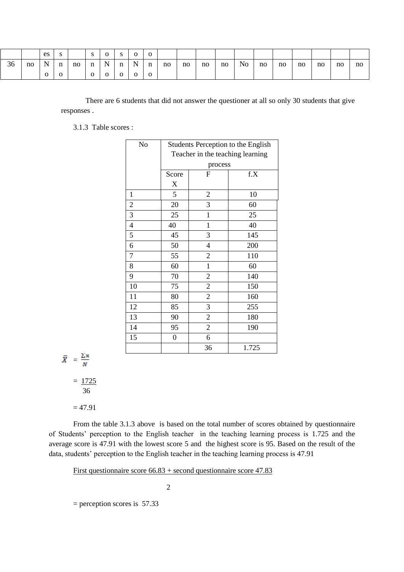|    |    | es           | S.          |    | S.           | $\overline{0}$ | $\mathbf{s}$   | $\overline{O}$ | $\overline{0}$ |    |    |    |    |    |    |    |    |    |    |    |
|----|----|--------------|-------------|----|--------------|----------------|----------------|----------------|----------------|----|----|----|----|----|----|----|----|----|----|----|
| 36 | no | N            | $\mathbf n$ | no | $\mathbf n$  | $\mathbf N$    | n              | $\mathbf N$    | $\mathbf n$    | no | no | no | no | No | no | no | no | no | no | no |
|    |    | $\mathbf{O}$ | $\Omega$    |    | $\mathbf{O}$ | $\mathbf{O}$   | $\overline{O}$ | $\overline{O}$ | $\overline{0}$ |    |    |    |    |    |    |    |    |    |    |    |

There are 6 students that did not answer the questioner at all so only 30 students that give responses .

3.1.3 Table scores :

| No             |                           |                                  | Students Perception to the English |  |  |  |
|----------------|---------------------------|----------------------------------|------------------------------------|--|--|--|
|                |                           | Teacher in the teaching learning |                                    |  |  |  |
|                |                           | process                          |                                    |  |  |  |
|                | Score                     | $\overline{F}$                   | f.X                                |  |  |  |
|                | $\boldsymbol{\mathrm{X}}$ |                                  |                                    |  |  |  |
| $\mathbf{1}$   | 5                         | $\overline{2}$                   | 10                                 |  |  |  |
| $\overline{c}$ | 20                        | 3                                | 60                                 |  |  |  |
| 3              | 25                        | $\mathbf{1}$                     | 25                                 |  |  |  |
| $\overline{4}$ | 40                        | $\mathbf 1$                      | 40                                 |  |  |  |
| 5              | 45                        | 3                                | 145                                |  |  |  |
| 6              | 50                        | 4                                | 200                                |  |  |  |
| $\overline{7}$ | 55                        | $\overline{2}$                   | 110                                |  |  |  |
| 8              | 60                        | $\mathbf{1}$                     | 60                                 |  |  |  |
| 9              | 70                        | $\overline{2}$                   | 140                                |  |  |  |
| 10             | 75                        | $\overline{2}$                   | 150                                |  |  |  |
| 11             | 80                        | $\mathfrak{2}$                   | 160                                |  |  |  |
| 12             | 85                        | 3                                | 255                                |  |  |  |
| 13             | 90                        | $\overline{2}$                   | 180                                |  |  |  |
| 14             | 95                        | $\mathbf{2}$                     | 190                                |  |  |  |
| 15             | $\boldsymbol{0}$          | 6                                |                                    |  |  |  |
|                |                           | 36                               | 1.725                              |  |  |  |

$$
\bar{X} = \frac{\sum x}{N}
$$

 $= 1725$ 36

 $= 47.91$ 

From the table 3.1.3 above is based on the total number of scores obtained by questionnaire of Students' perception to the English teacher in the teaching learning process is 1.725 and the average score is 47.91 with the lowest score 5 and the highest score is 95. Based on the result of the data, students' perception to the English teacher in the teaching learning process is 47.91

First questionnaire score 66.83 + second questionnaire score 47.83

2

= perception scores is 57.33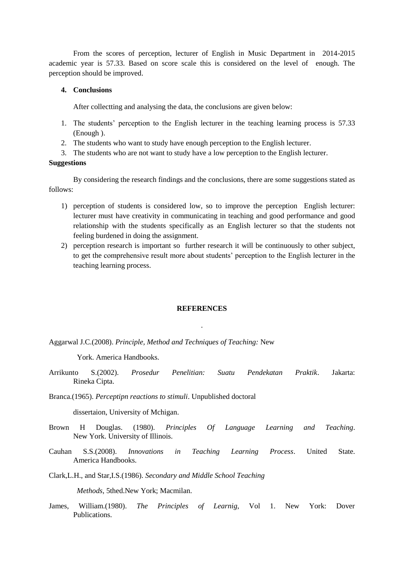From the scores of perception, lecturer of English in Music Department in 2014-2015 academic year is 57.33. Based on score scale this is considered on the level of enough. The perception should be improved.

## **4. Conclusions**

After collectting and analysing the data, the conclusions are given below:

- 1. The students' perception to the English lecturer in the teaching learning process is 57.33 (Enough ).
- 2. The students who want to study have enough perception to the English lecturer.
- 3. The students who are not want to study have a low perception to the English lecturer.

### **Suggestions**

By considering the research findings and the conclusions, there are some suggestions stated as follows:

- 1) perception of students is considered low, so to improve the perception English lecturer: lecturer must have creativity in communicating in teaching and good performance and good relationship with the students specifically as an English lecturer so that the students not feeling burdened in doing the assignment.
- 2) perception research is important so further research it will be continuously to other subject, to get the comprehensive result more about students' perception to the English lecturer in the teaching learning process.

#### **REFERENCES**

.

Aggarwal J.C.(2008). *Principle, Method and Techniques of Teaching:* New

York. America Handbooks.

Arrikunto S.(2002). *Prosedur Penelitian: Suatu Pendekatan Praktik*. Jakarta: Rineka Cipta.

Branca.(1965). *Perceptipn reactions to stimuli*. Unpublished doctoral

dissertaion, University of Mchigan.

- Brown H Douglas. (1980). *Principles Of Language Learning and Teaching*. New York. University of Illinois.
- Cauhan S.S.(2008). *Innovations in Teaching Learning Process*. United State. America Handbooks.

Clark,L.H., and Star,I.S.(1986). *Secondary and Middle School Teaching* 

 *Methods*, 5thed.New York; Macmilan.

James, William.(1980). *The Principles of Learnig*, Vol 1. New York: Dover Publications.